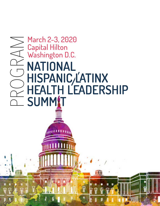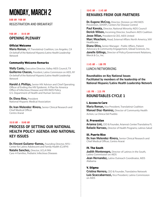# monday, march 2

8:00 AM- 9:00 AM

Registration and Breakfast

### 9:00 AM – 10:10 AM Opening Plenary

#### Official Welcome

**Maria Roman, VP, Translatin@ Coalition, Los Angeles, CA** *On behalf of the National Hispanic/Latinx Health Leadership Network*

#### Community Welcome Remarks

Wally Cantu, Executive Director, Valley AIDS Council, TX Guillermo Chacon, President, Latino Commission on AIDS, NY *On behalf of the National Hispanic/Latinx Health Leadership Network* İ,

Harold J. Phillips, Senior HIV Advisor and Chief Operating Officer of Ending the HIV Epidemic: A Plan for America Office of Infectious Disease and HIV/AIDS Policy U.S. Department of Health and Human Services

Dr. Elena Rios, President National Hispanic Medical Association

Dr. Ivan Melendez-Rivera, Senior Clinical Research and Chief Medical Officer Centro Ararat

#### 10:10 AM – 10:40 AM

# Process of Setting our National Health Policy Agenda and National Key Issues

Dr. Vincent Guilamo-Ramos, Founding Director, NYU -Center for Latino Adolescent and Family Health (CLAFH) Natalie Sanchez, Director, UCLA FAN Care-4-Families, Pediatric Infectious Diseases

## 10:45 AM – 11:45 AM Remarks from our Partners

**Dr. Eugene McCray, Director, Division on HIV/AIDS** Prevention, (DHAP), Centers for Disease Control

Paul Kawata, Director, National Minority AIDS Council **Derick Wilson, Incoming Director, Southern AIDS Coalition Jesse Milan, President & CEO, AIDS United** 

Marc Meachem, Head, External Affairs North America, ViiV Healthcare

Diana Oliva, Senior Manager - Public Affairs, Patient Advocacy & Community Engagement, Gilead Sciences, Inc. **Janelle Gillings, Director of Policy/Government Relations,** Merck & Co., Inc.

#### 11:45 AM – 1:00 PM

Lunch/Networking

Roundtables on Key National Issues Facilitated by members of the leadership of the National Hispanic/Latinx Health Leadership Network

# 1:05 PM – 2:35 PM roundtables Cycle 1

#### I. Access to Care

**Maria Roman,** Vice President, Translatin@ Coalition Manuel Diaz-Ramirez, Director of Community Health Action, La Clinica Del Pueblo

#### II. Prevention

Arianna Lint, CEO & Founder, Arianna's Center/Translatina FL Rafaele Narvaez, Director of Health Programs, Latinos Salud

#### III. Puerto Rico

Dr. Ivan Melendez-Rivera, Senior Clinical Research and Chief Medical Officer, Centro Ararat

#### IV. The South

**Judith Montenegro,** Director of Latinos in the South, Latino Commission on AIDS

**Jean Hernandez, Latinx Outreach Coordinator, AIDS** Alabama

#### V. Stigma

**Cristina Herrera, CEO & Founder, Translatinx Network Luis Scaccabarrozzi, Vice President, Latino Commission** on AIDS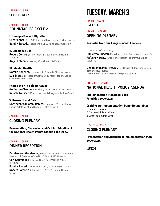## 2:45 PM – 4:15 PM roundtables Cycle 2

#### I. Immigration and Migration

**Oscar Lopez, CEO & Public Health Advocate, Poderosos, Inc. Bamby Salcedo, President & CEO, Translatin@ Coalition** 

#### II. Substance Use

Robert Contreras, President & CEO, Bienestar Human Services **Angel Fabian, Advocacy Coordinator, MPact** 

#### III. Mental Health

Natalie Sanchez, Director, UCLA Family AIDS Network **Luis Mares, Director of Community Mobilization, Latino** Commission on AIDS

#### IV. End the HIV Epidemic 2030

**Guillermo Chacon, President, Latino Commission on AIDS** Rafaele Narvaez, Director of Health Programs, Latinos Salud

#### V. Research and Data

**Dr. Vincent Guilamo-Ramos, Director, NYU- Center for** Latino Adolescent and Family Health (CLAFH)

#### 4:20 PM – 5:00 PM Closing Plenary

Presentation, Discussion and Call for Adoption of the National Health Policy Agenda 2020-2024

# 6:00 PM – 8:00 PM

# Dinner Reception

Dr. Maureen Goodenow, NIH Associate Director for AIDS Research & Director of the NIH Office of AIDS Research

Carl Schmid II, Executive Director, HIV+HEP, Policy Institute

**Bamby Salcedo, President & CEO, Translatin@ Coalition** Robert Contreras, President & CEO, Bienestar Human Services

# TUESDAY, MARCH 3

8:00 AM – 9:00 AM **BREAKFAST** 

## 9:00 AM – 10:00 AM Opening Plenary

#### Remarks from our Congressional Leaders

Co-Masters of Ceremony:

Guillermo Chacon, President, Latino Commission on AIDS Rafaele Narvaez, Director of Health Programs, Latinos Salud, FL

**Debbie Mucarsel-Powell, U.S. House of Representatives,** 26th District, Florida *On behalf of the Congressional Hispanic Caucus* 

## 10:05 AM – 11:25 AM

# National Health Policy Agenda

#### Implementation Plan 2020-2024 Priorities 2020-2021

#### Crafting our Implementation Plan - Roundtables

- 1. Southern Region 2. Northeast & Puerto Rico
- 3. West Coast & Mid-West

## 11:30 PM – 12:30 PM Closing Plenary

#### Presentation and Adoption of Implementation Plan 2020-2024

**LUNCH**